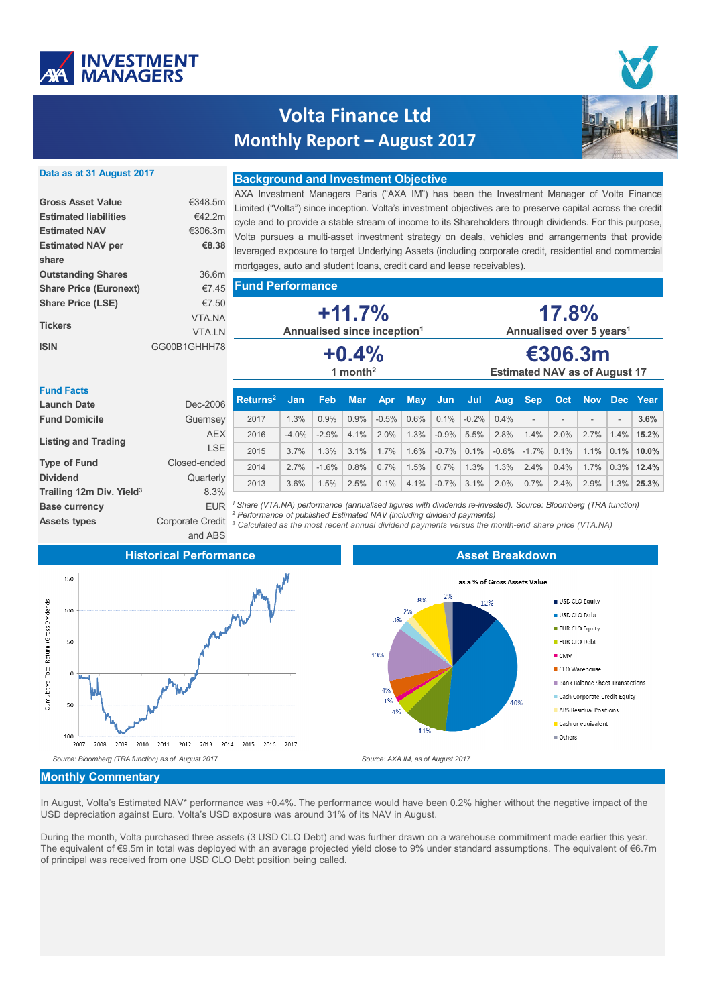

# **Volta Finance Ltd Monthly Report – August 2017**



#### **Data as at 31 August 2017**

| <b>Gross Asset Value</b>      | €348 5m       |
|-------------------------------|---------------|
| <b>Estimated liabilities</b>  | €42 2m        |
| <b>Estimated NAV</b>          | €306.3m       |
| <b>Estimated NAV per</b>      | €8.38         |
| share                         |               |
| <b>Outstanding Shares</b>     | 36.6m         |
| <b>Share Price (Euronext)</b> | €745          |
| <b>Share Price (LSE)</b>      | €7.50         |
| <b>Tickers</b>                | <b>VTA NA</b> |
|                               | <b>VTAIN</b>  |
| <b>ISIN</b>                   | GG00B1GHHH78  |

#### **Background and Investment Objective**

AXA Investment Managers Paris ("AXA IM") has been the Investment Manager of Volta Finance Limited ("Volta") since inception. Volta's investment objectives are to preserve capital across the credit cycle and to provide a stable stream of income to its Shareholders through dividends. For this purpose, Volta pursues a multi-asset investment strategy on deals, vehicles and arrangements that provide leveraged exposure to target Underlying Assets (including corporate credit, residential and commercial mortgages, auto and student loans, credit card and lease receivables).

|  |  |  | 5 Fund Performance |  |
|--|--|--|--------------------|--|
|--|--|--|--------------------|--|

**+11.7% Annualised since inception1 +0.4% 1 month2**

| 17.8%                                |
|--------------------------------------|
| Annualised over 5 years <sup>1</sup> |
| <i><b>AAAA</b></i>                   |

## **€306.3m Estimated NAV as of August 17**

| <b>Fund Facts</b>                    |                         |                                                                                                                                                                                                    |            |            |            |            |            |         |          |         |                          |            |                          |                          |              |
|--------------------------------------|-------------------------|----------------------------------------------------------------------------------------------------------------------------------------------------------------------------------------------------|------------|------------|------------|------------|------------|---------|----------|---------|--------------------------|------------|--------------------------|--------------------------|--------------|
| <b>Launch Date</b>                   | Dec-2006                | Returns <sup>2</sup>                                                                                                                                                                               | <b>Jan</b> | <b>Feb</b> | <b>Mar</b> | <b>Apr</b> | <b>May</b> | - Jun   | Jul      | Aug     | <b>Sep</b>               | <b>Oct</b> |                          |                          | Nov Dec Year |
| <b>Fund Domicile</b>                 | Guernsey                | 2017                                                                                                                                                                                               | 1.3%       | 0.9%       | 0.9%       | $-0.5%$    | $0.6\%$    | 0.1%    | $-0.2\%$ | 0.4%    | $\overline{\phantom{a}}$ |            | $\overline{\phantom{a}}$ | $\overline{\phantom{a}}$ | 3.6%         |
|                                      | <b>AEX</b>              | 2016                                                                                                                                                                                               | $-4.0%$    | $-2.9%$    | 4.1%       | 2.0%       | 1.3%       | $-0.9%$ | 5.5%     | 2.8%    | 1.4%                     | 2.0%       | 2.7%                     | 1.4%                     | 15.2%        |
| <b>Listing and Trading</b>           | <b>LSE</b>              | 2015                                                                                                                                                                                               | 3.7%       | 1.3%       | 3.1%       | 1.7%       | 1.6%       | $-0.7%$ | 0.1%     | $-0.6%$ | $-1.7\%$                 | 0.1%       | 1.1%                     | $0.1\%$                  | $10.0\%$     |
| <b>Type of Fund</b>                  | Closed-ended            | 2014                                                                                                                                                                                               | 2.7%       | $-1.6%$    | 0.8%       | 0.7%       | 1.5%       | 0.7%    | 1.3%     | 1.3%    | 2.4%                     | 0.4%       | 1.7%                     | $0.3\%$                  | $12.4\%$     |
| <b>Dividend</b>                      | Quarterly               | 2013                                                                                                                                                                                               | 3.6%       | 1.5%       | 2.5%       | $0.1\%$    | 4.1%       | $-0.7%$ | 3.1%     | 2.0%    | 0.7%                     | 2.4%       | 2.9%                     | $1.3\%$                  | 25.3%        |
| Trailing 12m Div. Yield <sup>3</sup> | 8.3%                    |                                                                                                                                                                                                    |            |            |            |            |            |         |          |         |                          |            |                          |                          |              |
| <b>Base currency</b>                 | <b>FUR</b>              | Share (VTA.NA) performance (annualised figures with dividends re-invested). Source: Bloomberg (TRA function)                                                                                       |            |            |            |            |            |         |          |         |                          |            |                          |                          |              |
| <b>Assets types</b>                  | <b>Corporate Credit</b> | <sup>2</sup> Performance of published Estimated NAV (including dividend payments)<br><sup>3</sup> Calculated as the most recent annual dividend payments versus the month-end share price (VTA.NA) |            |            |            |            |            |         |          |         |                          |            |                          |                          |              |

and ABS

#### **Historical Performance**



## **Asset Breakdown**



#### **Monthly Commentary**

In August, Volta's Estimated NAV\* performance was +0.4%. The performance would have been 0.2% higher without the negative impact of the USD depreciation against Euro. Volta's USD exposure was around 31% of its NAV in August.

During the month, Volta purchased three assets (3 USD CLO Debt) and was further drawn on a warehouse commitment made earlier this year. The equivalent of €9.5m in total was deployed with an average projected yield close to 9% under standard assumptions. The equivalent of €6.7m of principal was received from one USD CLO Debt position being called.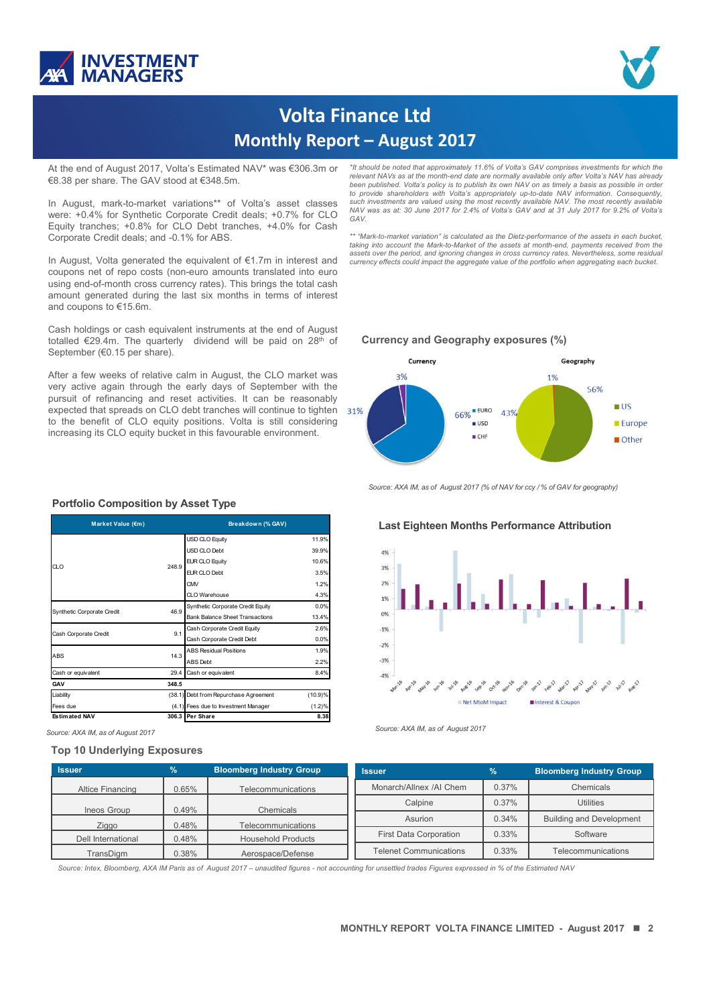



## **Volta Finance Ltd Monthly Report – August 2017**

At the end of August 2017, Volta's Estimated NAV\* was €306.3m or €8.38 per share. The GAV stood at €348.5m.

In August, mark-to-market variations\*\* of Volta's asset classes were: +0.4% for Synthetic Corporate Credit deals; +0.7% for CLO Equity tranches; +0.8% for CLO Debt tranches, +4.0% for Cash Corporate Credit deals; and -0.1% for ABS.

In August, Volta generated the equivalent of €1.7m in interest and coupons net of repo costs (non-euro amounts translated into euro using end-of-month cross currency rates). This brings the total cash amount generated during the last six months in terms of interest and coupons to €15.6m.

Cash holdings or cash equivalent instruments at the end of August totalled €29.4m. The quarterly dividend will be paid on 28th of September (€0.15 per share).

After a few weeks of relative calm in August, the CLO market was very active again through the early days of September with the pursuit of refinancing and reset activities. It can be reasonably expected that spreads on CLO debt tranches will continue to tighten to the benefit of CLO equity positions. Volta is still considering increasing its CLO equity bucket in this favourable environment.

*\*It should be noted that approximately 11.6% of Volta's GAV comprises investments for which the relevant NAVs as at the month-end date are normally available only after Volta's NAV has already* been published. Volta's policy is to publish its own NAV on as timely a basis as possible in order to provide shareholders with Volta's appropriately up-to-date NAV information. Consequently,<br>such investments are valued using the most recently available NAV. The most recently available NAV was as at: 30 June 2017 for 2.4% of Volta's GAV and at 31 July 2017 for 9.2% of Volta's *GAV.*

\*\* "Mark-to-market variation" is calculated as the Dietz-performance of the assets in each bucket,<br>taking into account the Mark-to-Market of the assets at month-end, payments received from the assets over the period, and ignoring changes in cross currency rates. Nevertheless, some residua.<br>currency effects could impact the aggregate value of the portfolio when aggregating each bucket.

#### **Currency and Geography exposures (%)**



*Source: AXA IM, as of August 2017 (% of NAV for ccy / % of GAV for geography)*

#### **Last Eighteen Months Performance Attribution**



*Source: AXA IM, as of August <sup>2017</sup> Source: AXA IM, as of August <sup>2017</sup>*

#### **Issuer % Bloomberg Industry Group** Altice Financing | 0.65% | Telecommunications Ineos Group 0.49% Chemicals Ziggo | 0.48% | Telecommunications Dell International  $\begin{vmatrix} 0.48\% \end{vmatrix}$  Household Products TransDigm | 0.38% | Aerospace/Defense **Issuer 8 8 8 Bloomberg Industry Group** Monarch/Allnex /AI Chem | 0.37% Chemicals Calpine 1 0.37% Utilities Asurion 0.34% Building and Development First Data Corporation | 0.33% | Software Telenet Communications  $\begin{vmatrix} 0.33\% & \end{vmatrix}$  Telecommunications

*Source: Intex, Bloomberg, AXA IM Paris as of August 2017 – unaudited figures - not accounting for unsettled trades Figures expressed in % of the Estimated NAV*

#### **Portfolio Composition by Asset Type**

| Market Value (€m)          |       | Breakdown (% GAV)                      |         |  |  |  |
|----------------------------|-------|----------------------------------------|---------|--|--|--|
|                            |       | <b>USD CLO Equity</b>                  | 11.9%   |  |  |  |
|                            |       | USD CLO Debt                           | 39.9%   |  |  |  |
| CLO                        | 248.9 | <b>EUR CLO Equity</b>                  | 10.6%   |  |  |  |
|                            |       | <b>EUR CLO Debt</b>                    | 3.5%    |  |  |  |
|                            |       | CMV                                    | 1.2%    |  |  |  |
|                            |       | CIO Warehouse                          | 4.3%    |  |  |  |
| Synthetic Corporate Credit | 46.9  | Synthetic Corporate Credit Equity      | 0.0%    |  |  |  |
|                            |       | <b>Bank Balance Sheet Transactions</b> | 13.4%   |  |  |  |
| Cash Corporate Credit      | 9.1   | Cash Corporate Credit Equity           | 2.6%    |  |  |  |
|                            |       | Cash Corporate Credit Debt             | 0.0%    |  |  |  |
| <b>ABS</b>                 | 14.3  | <b>ABS Residual Positions</b>          | 1.9%    |  |  |  |
|                            |       | <b>ABS</b> Debt                        | 2.2%    |  |  |  |
| Cash or equivalent         | 29.4  | Cash or equivalent                     | 8.4%    |  |  |  |
| GAV                        | 348.5 |                                        |         |  |  |  |
| Liability                  |       | (38.1) Debt from Repurchase Agreement  | (10.9)% |  |  |  |
| Fees due                   |       | (4.1) Fees due to Investment Manager   | (1.2)%  |  |  |  |
| <b>Estimated NAV</b>       |       | 306.3 Per Share                        | 8.38    |  |  |  |

#### **Top 10 Underlying Exposures**